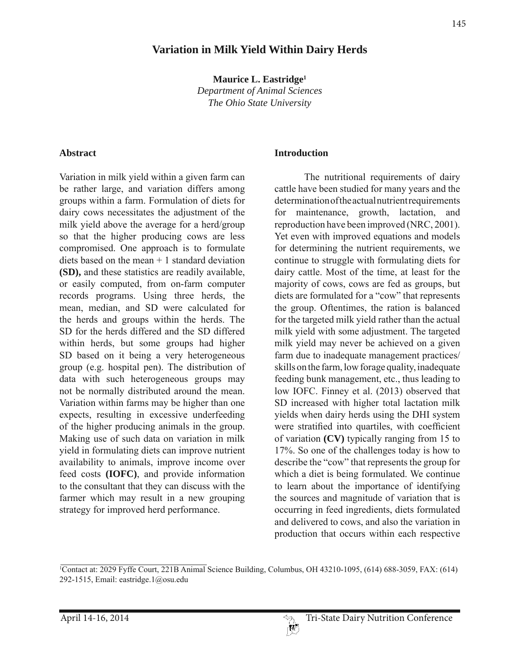## **Variation in Milk Yield Within Dairy Herds**

**Maurice L. Eastridge1** *Department of Animal Sciences The Ohio State University*

#### **Abstract**

Variation in milk yield within a given farm can be rather large, and variation differs among groups within a farm. Formulation of diets for dairy cows necessitates the adjustment of the milk yield above the average for a herd/group so that the higher producing cows are less compromised. One approach is to formulate diets based on the mean  $+1$  standard deviation **(SD),** and these statistics are readily available, or easily computed, from on-farm computer records programs. Using three herds, the mean, median, and SD were calculated for the herds and groups within the herds. The SD for the herds differed and the SD differed within herds, but some groups had higher SD based on it being a very heterogeneous group (e.g. hospital pen). The distribution of data with such heterogeneous groups may not be normally distributed around the mean. Variation within farms may be higher than one expects, resulting in excessive underfeeding of the higher producing animals in the group. Making use of such data on variation in milk yield in formulating diets can improve nutrient availability to animals, improve income over feed costs **(IOFC)**, and provide information to the consultant that they can discuss with the farmer which may result in a new grouping strategy for improved herd performance.

#### **Introduction**

 The nutritional requirements of dairy cattle have been studied for many years and the determination of the actual nutrient requirements for maintenance, growth, lactation, and reproduction have been improved (NRC, 2001). Yet even with improved equations and models for determining the nutrient requirements, we continue to struggle with formulating diets for dairy cattle. Most of the time, at least for the majority of cows, cows are fed as groups, but diets are formulated for a "cow" that represents the group. Oftentimes, the ration is balanced for the targeted milk yield rather than the actual milk yield with some adjustment. The targeted milk yield may never be achieved on a given farm due to inadequate management practices/ skills on the farm, low forage quality, inadequate feeding bunk management, etc., thus leading to low IOFC. Finney et al. (2013) observed that SD increased with higher total lactation milk yields when dairy herds using the DHI system were stratified into quartiles, with coefficient of variation **(CV)** typically ranging from 15 to 17%. So one of the challenges today is how to describe the "cow" that represents the group for which a diet is being formulated. We continue to learn about the importance of identifying the sources and magnitude of variation that is occurring in feed ingredients, diets formulated and delivered to cows, and also the variation in production that occurs within each respective

<sup>1</sup> Contact at: 2029 Fyffe Court, 221B Animal Science Building, Columbus, OH 43210-1095, (614) 688-3059, FAX: (614) 292-1515, Email: eastridge.1@osu.edu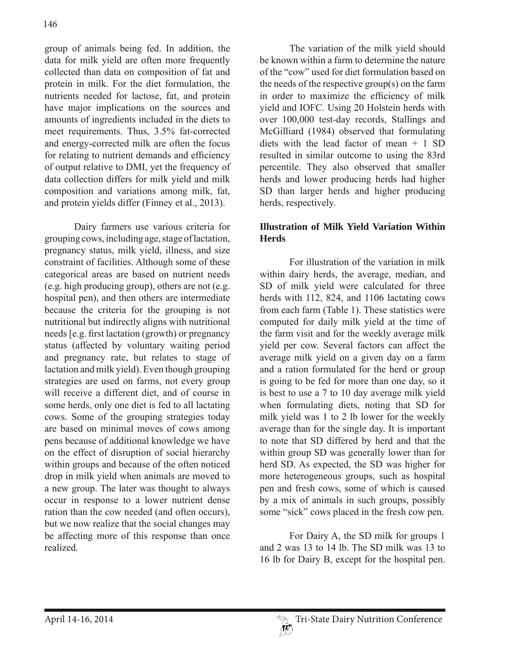group of animals being fed. In addition, the data for milk yield are often more frequently collected than data on composition of fat and protein in milk. For the diet formulation, the nutrients needed for lactose, fat, and protein have major implications on the sources and amounts of ingredients included in the diets to meet requirements. Thus, 3.5% fat-corrected and energy-corrected milk are often the focus for relating to nutrient demands and efficiency of output relative to DMI, yet the frequency of data collection differs for milk yield and milk composition and variations among milk, fat, and protein yields differ (Finney et al., 2013).

 Dairy farmers use various criteria for grouping cows, including age, stage of lactation, pregnancy status, milk yield, illness, and size constraint of facilities. Although some of these categorical areas are based on nutrient needs (e.g. high producing group), others are not (e.g. hospital pen), and then others are intermediate because the criteria for the grouping is not nutritional but indirectly aligns with nutritional needs  $[e.g.$  first lactation (growth) or pregnancy status (affected by voluntary waiting period and pregnancy rate, but relates to stage of lactation and milk yield). Even though grouping strategies are used on farms, not every group will receive a different diet, and of course in some herds, only one diet is fed to all lactating cows. Some of the grouping strategies today are based on minimal moves of cows among pens because of additional knowledge we have on the effect of disruption of social hierarchy within groups and because of the often noticed drop in milk yield when animals are moved to a new group. The later was thought to always occur in response to a lower nutrient dense ration than the cow needed (and often occurs), but we now realize that the social changes may be affecting more of this response than once realized.

 The variation of the milk yield should be known within a farm to determine the nature of the "cow" used for diet formulation based on the needs of the respective group(s) on the farm in order to maximize the efficiency of milk yield and IOFC. Using 20 Holstein herds with over 100,000 test-day records, Stallings and McGilliard (1984) observed that formulating diets with the lead factor of mean + 1 SD resulted in similar outcome to using the 83rd percentile. They also observed that smaller herds and lower producing herds had higher SD than larger herds and higher producing herds, respectively.

### **Illustration of Milk Yield Variation Within Herds**

 For illustration of the variation in milk within dairy herds, the average, median, and SD of milk yield were calculated for three herds with 112, 824, and 1106 lactating cows from each farm (Table 1). These statistics were computed for daily milk yield at the time of the farm visit and for the weekly average milk yield per cow. Several factors can affect the average milk yield on a given day on a farm and a ration formulated for the herd or group is going to be fed for more than one day, so it is best to use a 7 to 10 day average milk yield when formulating diets, noting that SD for milk yield was 1 to 2 lb lower for the weekly average than for the single day. It is important to note that SD differed by herd and that the within group SD was generally lower than for herd SD. As expected, the SD was higher for more heterogeneous groups, such as hospital pen and fresh cows, some of which is caused by a mix of animals in such groups, possibly some "sick" cows placed in the fresh cow pen.

 For Dairy A, the SD milk for groups 1 and 2 was 13 to 14 lb. The SD milk was 13 to 16 lb for Dairy B, except for the hospital pen.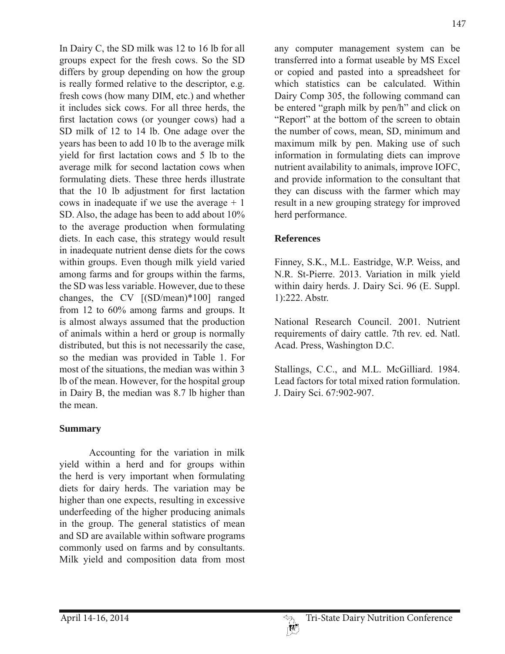In Dairy C, the SD milk was 12 to 16 lb for all groups expect for the fresh cows. So the SD differs by group depending on how the group is really formed relative to the descriptor, e.g. fresh cows (how many DIM, etc.) and whether it includes sick cows. For all three herds, the first lactation cows (or younger cows) had a SD milk of 12 to 14 lb. One adage over the years has been to add 10 lb to the average milk yield for first lactation cows and 5 lb to the average milk for second lactation cows when formulating diets. These three herds illustrate that the 10 lb adjustment for first lactation cows in inadequate if we use the average  $+1$ SD. Also, the adage has been to add about 10% to the average production when formulating diets. In each case, this strategy would result in inadequate nutrient dense diets for the cows within groups. Even though milk yield varied among farms and for groups within the farms, the SD was less variable. However, due to these changes, the CV [(SD/mean)\*100] ranged from 12 to 60% among farms and groups. It is almost always assumed that the production of animals within a herd or group is normally distributed, but this is not necessarily the case, so the median was provided in Table 1. For most of the situations, the median was within 3 lb of the mean. However, for the hospital group in Dairy B, the median was 8.7 lb higher than the mean.

### **Summary**

 Accounting for the variation in milk yield within a herd and for groups within the herd is very important when formulating diets for dairy herds. The variation may be higher than one expects, resulting in excessive underfeeding of the higher producing animals in the group. The general statistics of mean and SD are available within software programs commonly used on farms and by consultants. Milk yield and composition data from most any computer management system can be transferred into a format useable by MS Excel or copied and pasted into a spreadsheet for which statistics can be calculated. Within Dairy Comp 305, the following command can be entered "graph milk by pen/h" and click on "Report" at the bottom of the screen to obtain the number of cows, mean, SD, minimum and maximum milk by pen. Making use of such information in formulating diets can improve nutrient availability to animals, improve IOFC, and provide information to the consultant that they can discuss with the farmer which may result in a new grouping strategy for improved herd performance.

# **References**

Finney, S.K., M.L. Eastridge, W.P. Weiss, and N.R. St-Pierre. 2013. Variation in milk yield within dairy herds. J. Dairy Sci. 96 (E. Suppl. 1):222. Abstr.

National Research Council. 2001. Nutrient requirements of dairy cattle. 7th rev. ed. Natl. Acad. Press, Washington D.C.

Stallings, C.C., and M.L. McGilliard. 1984. Lead factors for total mixed ration formulation. J. Dairy Sci. 67:902-907.